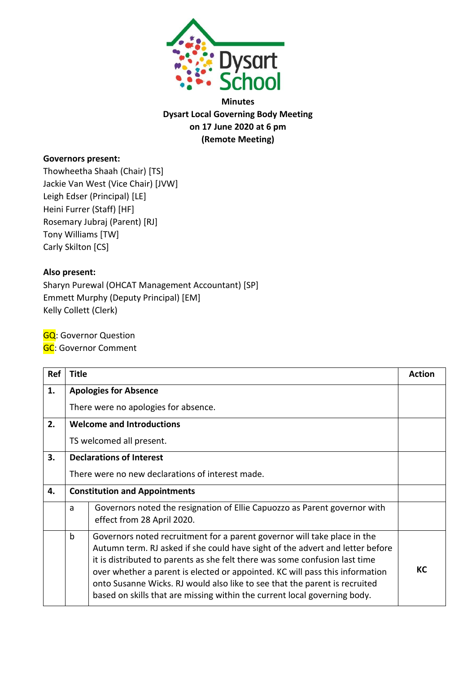

**Minutes Dysart Local Governing Body Meeting on 17 June 2020 at 6 pm (Remote Meeting)**

# **Governors present:**

Thowheetha Shaah (Chair) [TS] Jackie Van West (Vice Chair) [JVW] Leigh Edser (Principal) [LE] Heini Furrer (Staff) [HF] Rosemary Jubraj (Parent) [RJ] Tony Williams [TW] Carly Skilton [CS]

### **Also present:**

Sharyn Purewal (OHCAT Management Accountant) [SP] Emmett Murphy (Deputy Principal) [EM] Kelly Collett (Clerk)

**GQ**: Governor Question

**GC: Governor Comment** 

| Ref | <b>Title</b>                         |                                                                                                                                                                                                                                                                                                                                                                                                                                                                                     | <b>Action</b> |
|-----|--------------------------------------|-------------------------------------------------------------------------------------------------------------------------------------------------------------------------------------------------------------------------------------------------------------------------------------------------------------------------------------------------------------------------------------------------------------------------------------------------------------------------------------|---------------|
| 1.  | <b>Apologies for Absence</b>         |                                                                                                                                                                                                                                                                                                                                                                                                                                                                                     |               |
|     |                                      | There were no apologies for absence.                                                                                                                                                                                                                                                                                                                                                                                                                                                |               |
| 2.  |                                      | <b>Welcome and Introductions</b>                                                                                                                                                                                                                                                                                                                                                                                                                                                    |               |
|     | TS welcomed all present.             |                                                                                                                                                                                                                                                                                                                                                                                                                                                                                     |               |
| 3.  |                                      | <b>Declarations of Interest</b>                                                                                                                                                                                                                                                                                                                                                                                                                                                     |               |
|     |                                      | There were no new declarations of interest made.                                                                                                                                                                                                                                                                                                                                                                                                                                    |               |
| 4.  | <b>Constitution and Appointments</b> |                                                                                                                                                                                                                                                                                                                                                                                                                                                                                     |               |
|     | a                                    | Governors noted the resignation of Ellie Capuozzo as Parent governor with<br>effect from 28 April 2020.                                                                                                                                                                                                                                                                                                                                                                             |               |
|     | $\mathsf b$                          | Governors noted recruitment for a parent governor will take place in the<br>Autumn term. RJ asked if she could have sight of the advert and letter before<br>it is distributed to parents as she felt there was some confusion last time<br>over whether a parent is elected or appointed. KC will pass this information<br>onto Susanne Wicks. RJ would also like to see that the parent is recruited<br>based on skills that are missing within the current local governing body. | КC            |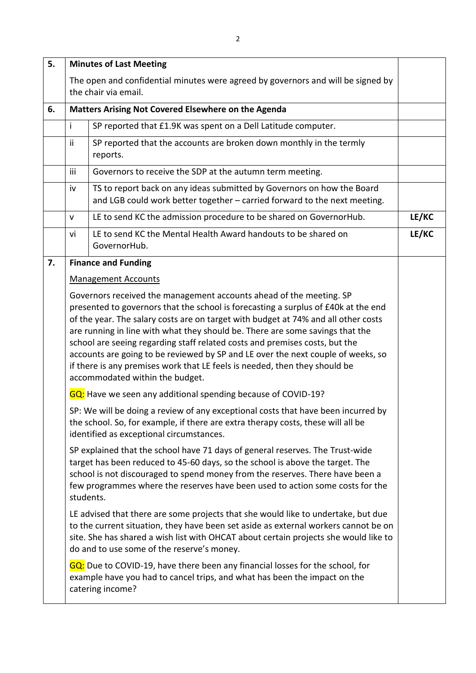| 5. |                                                                                                                                                                                                                                                                                                                                                                                                                                                                                                                                                                                                                      | <b>Minutes of Last Meeting</b>                                                                                                                                                                                                                                                                                                   |       |
|----|----------------------------------------------------------------------------------------------------------------------------------------------------------------------------------------------------------------------------------------------------------------------------------------------------------------------------------------------------------------------------------------------------------------------------------------------------------------------------------------------------------------------------------------------------------------------------------------------------------------------|----------------------------------------------------------------------------------------------------------------------------------------------------------------------------------------------------------------------------------------------------------------------------------------------------------------------------------|-------|
|    |                                                                                                                                                                                                                                                                                                                                                                                                                                                                                                                                                                                                                      | The open and confidential minutes were agreed by governors and will be signed by<br>the chair via email.                                                                                                                                                                                                                         |       |
| 6. | Matters Arising Not Covered Elsewhere on the Agenda                                                                                                                                                                                                                                                                                                                                                                                                                                                                                                                                                                  |                                                                                                                                                                                                                                                                                                                                  |       |
|    | Ť                                                                                                                                                                                                                                                                                                                                                                                                                                                                                                                                                                                                                    | SP reported that £1.9K was spent on a Dell Latitude computer.                                                                                                                                                                                                                                                                    |       |
|    | ii                                                                                                                                                                                                                                                                                                                                                                                                                                                                                                                                                                                                                   | SP reported that the accounts are broken down monthly in the termly<br>reports.                                                                                                                                                                                                                                                  |       |
|    | iii                                                                                                                                                                                                                                                                                                                                                                                                                                                                                                                                                                                                                  | Governors to receive the SDP at the autumn term meeting.                                                                                                                                                                                                                                                                         |       |
|    | iv                                                                                                                                                                                                                                                                                                                                                                                                                                                                                                                                                                                                                   | TS to report back on any ideas submitted by Governors on how the Board<br>and LGB could work better together - carried forward to the next meeting.                                                                                                                                                                              |       |
|    | $\mathsf{V}$                                                                                                                                                                                                                                                                                                                                                                                                                                                                                                                                                                                                         | LE to send KC the admission procedure to be shared on GovernorHub.                                                                                                                                                                                                                                                               | LE/KC |
|    | vi                                                                                                                                                                                                                                                                                                                                                                                                                                                                                                                                                                                                                   | LE to send KC the Mental Health Award handouts to be shared on<br>GovernorHub.                                                                                                                                                                                                                                                   | LE/KC |
| 7. |                                                                                                                                                                                                                                                                                                                                                                                                                                                                                                                                                                                                                      | <b>Finance and Funding</b>                                                                                                                                                                                                                                                                                                       |       |
|    |                                                                                                                                                                                                                                                                                                                                                                                                                                                                                                                                                                                                                      | <b>Management Accounts</b>                                                                                                                                                                                                                                                                                                       |       |
|    | Governors received the management accounts ahead of the meeting. SP<br>presented to governors that the school is forecasting a surplus of £40k at the end<br>of the year. The salary costs are on target with budget at 74% and all other costs<br>are running in line with what they should be. There are some savings that the<br>school are seeing regarding staff related costs and premises costs, but the<br>accounts are going to be reviewed by SP and LE over the next couple of weeks, so<br>if there is any premises work that LE feels is needed, then they should be<br>accommodated within the budget. |                                                                                                                                                                                                                                                                                                                                  |       |
|    |                                                                                                                                                                                                                                                                                                                                                                                                                                                                                                                                                                                                                      | GQ: Have we seen any additional spending because of COVID-19?                                                                                                                                                                                                                                                                    |       |
|    |                                                                                                                                                                                                                                                                                                                                                                                                                                                                                                                                                                                                                      | SP: We will be doing a review of any exceptional costs that have been incurred by<br>the school. So, for example, if there are extra therapy costs, these will all be<br>identified as exceptional circumstances.                                                                                                                |       |
|    | students.                                                                                                                                                                                                                                                                                                                                                                                                                                                                                                                                                                                                            | SP explained that the school have 71 days of general reserves. The Trust-wide<br>target has been reduced to 45-60 days, so the school is above the target. The<br>school is not discouraged to spend money from the reserves. There have been a<br>few programmes where the reserves have been used to action some costs for the |       |
|    |                                                                                                                                                                                                                                                                                                                                                                                                                                                                                                                                                                                                                      | LE advised that there are some projects that she would like to undertake, but due<br>to the current situation, they have been set aside as external workers cannot be on<br>site. She has shared a wish list with OHCAT about certain projects she would like to<br>do and to use some of the reserve's money.                   |       |
|    |                                                                                                                                                                                                                                                                                                                                                                                                                                                                                                                                                                                                                      | GQ: Due to COVID-19, have there been any financial losses for the school, for<br>example have you had to cancel trips, and what has been the impact on the<br>catering income?                                                                                                                                                   |       |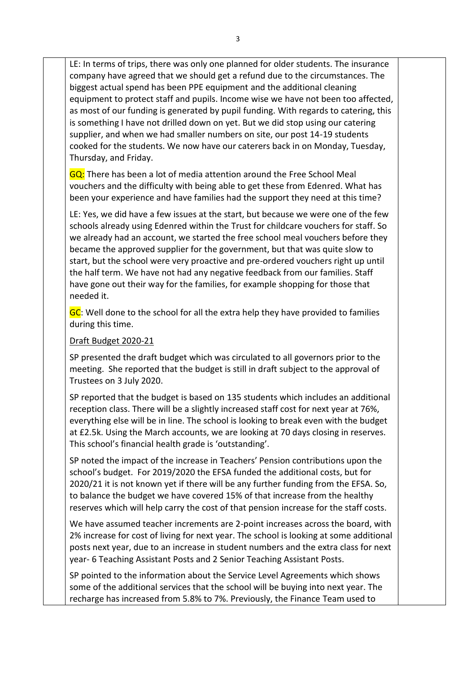LE: In terms of trips, there was only one planned for older students. The insurance company have agreed that we should get a refund due to the circumstances. The biggest actual spend has been PPE equipment and the additional cleaning equipment to protect staff and pupils. Income wise we have not been too affected, as most of our funding is generated by pupil funding. With regards to catering, this is something I have not drilled down on yet. But we did stop using our catering supplier, and when we had smaller numbers on site, our post 14-19 students cooked for the students. We now have our caterers back in on Monday, Tuesday, Thursday, and Friday.

GQ: There has been a lot of media attention around the Free School Meal vouchers and the difficulty with being able to get these from Edenred. What has been your experience and have families had the support they need at this time?

LE: Yes, we did have a few issues at the start, but because we were one of the few schools already using Edenred within the Trust for childcare vouchers for staff. So we already had an account, we started the free school meal vouchers before they became the approved supplier for the government, but that was quite slow to start, but the school were very proactive and pre-ordered vouchers right up until the half term. We have not had any negative feedback from our families. Staff have gone out their way for the families, for example shopping for those that needed it.

GC: Well done to the school for all the extra help they have provided to families during this time.

#### Draft Budget 2020-21

SP presented the draft budget which was circulated to all governors prior to the meeting. She reported that the budget is still in draft subject to the approval of Trustees on 3 July 2020.

SP reported that the budget is based on 135 students which includes an additional reception class. There will be a slightly increased staff cost for next year at 76%, everything else will be in line. The school is looking to break even with the budget at £2.5k. Using the March accounts, we are looking at 70 days closing in reserves. This school's financial health grade is 'outstanding'.

SP noted the impact of the increase in Teachers' Pension contributions upon the school's budget. For 2019/2020 the EFSA funded the additional costs, but for 2020/21 it is not known yet if there will be any further funding from the EFSA. So, to balance the budget we have covered 15% of that increase from the healthy reserves which will help carry the cost of that pension increase for the staff costs.

We have assumed teacher increments are 2-point increases across the board, with 2% increase for cost of living for next year. The school is looking at some additional posts next year, due to an increase in student numbers and the extra class for next year- 6 Teaching Assistant Posts and 2 Senior Teaching Assistant Posts.

SP pointed to the information about the Service Level Agreements which shows some of the additional services that the school will be buying into next year. The recharge has increased from 5.8% to 7%. Previously, the Finance Team used to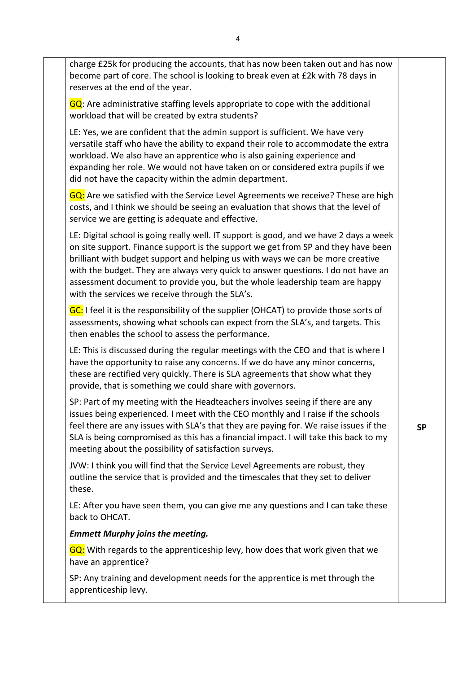charge £25k for producing the accounts, that has now been taken out and has now become part of core. The school is looking to break even at £2k with 78 days in reserves at the end of the year.

GQ: Are administrative staffing levels appropriate to cope with the additional workload that will be created by extra students?

LE: Yes, we are confident that the admin support is sufficient. We have very versatile staff who have the ability to expand their role to accommodate the extra workload. We also have an apprentice who is also gaining experience and expanding her role. We would not have taken on or considered extra pupils if we did not have the capacity within the admin department.

GQ: Are we satisfied with the Service Level Agreements we receive? These are high costs, and I think we should be seeing an evaluation that shows that the level of service we are getting is adequate and effective.

LE: Digital school is going really well. IT support is good, and we have 2 days a week on site support. Finance support is the support we get from SP and they have been brilliant with budget support and helping us with ways we can be more creative with the budget. They are always very quick to answer questions. I do not have an assessment document to provide you, but the whole leadership team are happy with the services we receive through the SLA's.

GC: I feel it is the responsibility of the supplier (OHCAT) to provide those sorts of assessments, showing what schools can expect from the SLA's, and targets. This then enables the school to assess the performance.

LE: This is discussed during the regular meetings with the CEO and that is where I have the opportunity to raise any concerns. If we do have any minor concerns, these are rectified very quickly. There is SLA agreements that show what they provide, that is something we could share with governors.

SP: Part of my meeting with the Headteachers involves seeing if there are any issues being experienced. I meet with the CEO monthly and I raise if the schools feel there are any issues with SLA's that they are paying for. We raise issues if the SLA is being compromised as this has a financial impact. I will take this back to my meeting about the possibility of satisfaction surveys.

JVW: I think you will find that the Service Level Agreements are robust, they outline the service that is provided and the timescales that they set to deliver these.

LE: After you have seen them, you can give me any questions and I can take these back to OHCAT.

# *Emmett Murphy joins the meeting.*

GQ: With regards to the apprenticeship levy, how does that work given that we have an apprentice?

SP: Any training and development needs for the apprentice is met through the apprenticeship levy.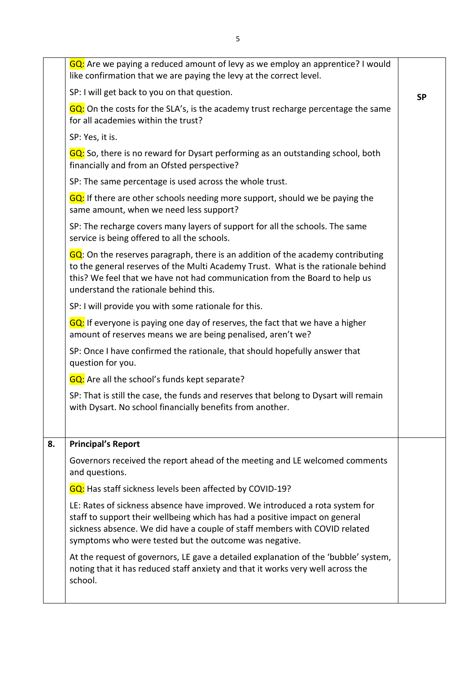|    | GQ: Are we paying a reduced amount of levy as we employ an apprentice? I would<br>like confirmation that we are paying the levy at the correct level.                                                                                                                                               |           |
|----|-----------------------------------------------------------------------------------------------------------------------------------------------------------------------------------------------------------------------------------------------------------------------------------------------------|-----------|
|    | SP: I will get back to you on that question.                                                                                                                                                                                                                                                        | <b>SP</b> |
|    | GQ: On the costs for the SLA's, is the academy trust recharge percentage the same<br>for all academies within the trust?                                                                                                                                                                            |           |
|    | SP: Yes, it is.                                                                                                                                                                                                                                                                                     |           |
|    | GQ: So, there is no reward for Dysart performing as an outstanding school, both<br>financially and from an Ofsted perspective?                                                                                                                                                                      |           |
|    | SP: The same percentage is used across the whole trust.                                                                                                                                                                                                                                             |           |
|    | GQ: If there are other schools needing more support, should we be paying the<br>same amount, when we need less support?                                                                                                                                                                             |           |
|    | SP: The recharge covers many layers of support for all the schools. The same<br>service is being offered to all the schools.                                                                                                                                                                        |           |
|    | GQ: On the reserves paragraph, there is an addition of the academy contributing<br>to the general reserves of the Multi Academy Trust. What is the rationale behind<br>this? We feel that we have not had communication from the Board to help us<br>understand the rationale behind this.          |           |
|    | SP: I will provide you with some rationale for this.                                                                                                                                                                                                                                                |           |
|    | GQ: If everyone is paying one day of reserves, the fact that we have a higher<br>amount of reserves means we are being penalised, aren't we?                                                                                                                                                        |           |
|    | SP: Once I have confirmed the rationale, that should hopefully answer that<br>question for you.                                                                                                                                                                                                     |           |
|    | <b>GQ</b> : Are all the school's funds kept separate?                                                                                                                                                                                                                                               |           |
|    | SP: That is still the case, the funds and reserves that belong to Dysart will remain<br>with Dysart. No school financially benefits from another.                                                                                                                                                   |           |
| 8. | <b>Principal's Report</b>                                                                                                                                                                                                                                                                           |           |
|    | Governors received the report ahead of the meeting and LE welcomed comments<br>and questions.                                                                                                                                                                                                       |           |
|    | GQ: Has staff sickness levels been affected by COVID-19?                                                                                                                                                                                                                                            |           |
|    | LE: Rates of sickness absence have improved. We introduced a rota system for<br>staff to support their wellbeing which has had a positive impact on general<br>sickness absence. We did have a couple of staff members with COVID related<br>symptoms who were tested but the outcome was negative. |           |
|    | At the request of governors, LE gave a detailed explanation of the 'bubble' system,<br>noting that it has reduced staff anxiety and that it works very well across the<br>school.                                                                                                                   |           |
|    |                                                                                                                                                                                                                                                                                                     |           |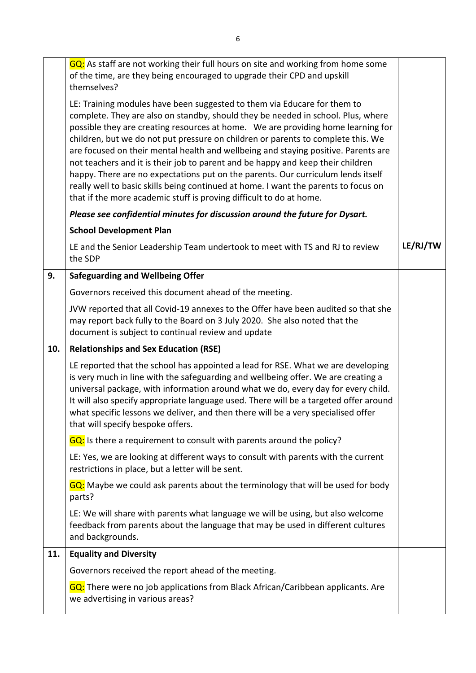|     | GQ: As staff are not working their full hours on site and working from home some<br>of the time, are they being encouraged to upgrade their CPD and upskill<br>themselves?                                                                                                                                                                                                                                                                                                                                                                                                                                                                                                                                                                                      |          |
|-----|-----------------------------------------------------------------------------------------------------------------------------------------------------------------------------------------------------------------------------------------------------------------------------------------------------------------------------------------------------------------------------------------------------------------------------------------------------------------------------------------------------------------------------------------------------------------------------------------------------------------------------------------------------------------------------------------------------------------------------------------------------------------|----------|
|     | LE: Training modules have been suggested to them via Educare for them to<br>complete. They are also on standby, should they be needed in school. Plus, where<br>possible they are creating resources at home. We are providing home learning for<br>children, but we do not put pressure on children or parents to complete this. We<br>are focused on their mental health and wellbeing and staying positive. Parents are<br>not teachers and it is their job to parent and be happy and keep their children<br>happy. There are no expectations put on the parents. Our curriculum lends itself<br>really well to basic skills being continued at home. I want the parents to focus on<br>that if the more academic stuff is proving difficult to do at home. |          |
|     | Please see confidential minutes for discussion around the future for Dysart.                                                                                                                                                                                                                                                                                                                                                                                                                                                                                                                                                                                                                                                                                    |          |
|     | <b>School Development Plan</b>                                                                                                                                                                                                                                                                                                                                                                                                                                                                                                                                                                                                                                                                                                                                  |          |
|     | LE and the Senior Leadership Team undertook to meet with TS and RJ to review<br>the SDP                                                                                                                                                                                                                                                                                                                                                                                                                                                                                                                                                                                                                                                                         | LE/RJ/TW |
| 9.  | <b>Safeguarding and Wellbeing Offer</b>                                                                                                                                                                                                                                                                                                                                                                                                                                                                                                                                                                                                                                                                                                                         |          |
|     | Governors received this document ahead of the meeting.                                                                                                                                                                                                                                                                                                                                                                                                                                                                                                                                                                                                                                                                                                          |          |
|     | JVW reported that all Covid-19 annexes to the Offer have been audited so that she<br>may report back fully to the Board on 3 July 2020. She also noted that the<br>document is subject to continual review and update                                                                                                                                                                                                                                                                                                                                                                                                                                                                                                                                           |          |
|     |                                                                                                                                                                                                                                                                                                                                                                                                                                                                                                                                                                                                                                                                                                                                                                 |          |
| 10. | <b>Relationships and Sex Education (RSE)</b>                                                                                                                                                                                                                                                                                                                                                                                                                                                                                                                                                                                                                                                                                                                    |          |
|     | LE reported that the school has appointed a lead for RSE. What we are developing<br>is very much in line with the safeguarding and wellbeing offer. We are creating a<br>universal package, with information around what we do, every day for every child.<br>It will also specify appropriate language used. There will be a targeted offer around<br>what specific lessons we deliver, and then there will be a very specialised offer<br>that will specify bespoke offers.                                                                                                                                                                                                                                                                                   |          |
|     | GQ: Is there a requirement to consult with parents around the policy?                                                                                                                                                                                                                                                                                                                                                                                                                                                                                                                                                                                                                                                                                           |          |
|     | LE: Yes, we are looking at different ways to consult with parents with the current<br>restrictions in place, but a letter will be sent.                                                                                                                                                                                                                                                                                                                                                                                                                                                                                                                                                                                                                         |          |
|     | GQ: Maybe we could ask parents about the terminology that will be used for body<br>parts?                                                                                                                                                                                                                                                                                                                                                                                                                                                                                                                                                                                                                                                                       |          |
|     | LE: We will share with parents what language we will be using, but also welcome<br>feedback from parents about the language that may be used in different cultures<br>and backgrounds.                                                                                                                                                                                                                                                                                                                                                                                                                                                                                                                                                                          |          |
| 11. | <b>Equality and Diversity</b>                                                                                                                                                                                                                                                                                                                                                                                                                                                                                                                                                                                                                                                                                                                                   |          |
|     | Governors received the report ahead of the meeting.                                                                                                                                                                                                                                                                                                                                                                                                                                                                                                                                                                                                                                                                                                             |          |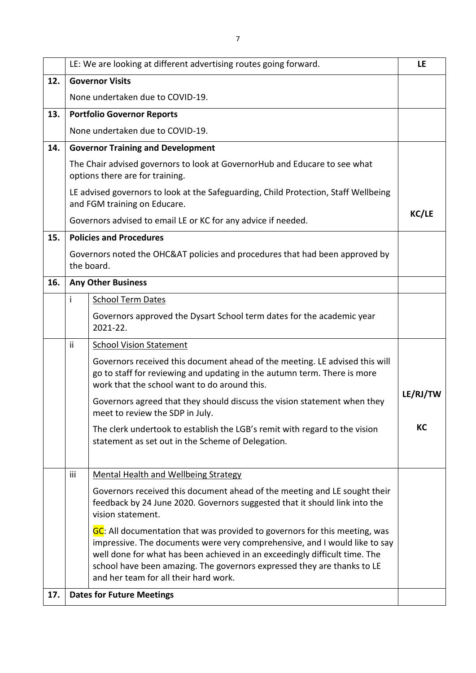|     |     | LE: We are looking at different advertising routes going forward.                                                                                                                                                                                                                                                                                          | LE           |
|-----|-----|------------------------------------------------------------------------------------------------------------------------------------------------------------------------------------------------------------------------------------------------------------------------------------------------------------------------------------------------------------|--------------|
| 12. |     | <b>Governor Visits</b>                                                                                                                                                                                                                                                                                                                                     |              |
|     |     | None undertaken due to COVID-19.                                                                                                                                                                                                                                                                                                                           |              |
| 13. |     | <b>Portfolio Governor Reports</b>                                                                                                                                                                                                                                                                                                                          |              |
|     |     | None undertaken due to COVID-19.                                                                                                                                                                                                                                                                                                                           |              |
| 14. |     | <b>Governor Training and Development</b>                                                                                                                                                                                                                                                                                                                   |              |
|     |     | The Chair advised governors to look at GovernorHub and Educare to see what<br>options there are for training.                                                                                                                                                                                                                                              |              |
|     |     | LE advised governors to look at the Safeguarding, Child Protection, Staff Wellbeing<br>and FGM training on Educare.                                                                                                                                                                                                                                        |              |
|     |     | Governors advised to email LE or KC for any advice if needed.                                                                                                                                                                                                                                                                                              | <b>KC/LE</b> |
| 15. |     | <b>Policies and Procedures</b>                                                                                                                                                                                                                                                                                                                             |              |
|     |     | Governors noted the OHC&AT policies and procedures that had been approved by<br>the board.                                                                                                                                                                                                                                                                 |              |
| 16. |     | <b>Any Other Business</b>                                                                                                                                                                                                                                                                                                                                  |              |
|     | i   | <b>School Term Dates</b>                                                                                                                                                                                                                                                                                                                                   |              |
|     |     | Governors approved the Dysart School term dates for the academic year<br>2021-22.                                                                                                                                                                                                                                                                          |              |
|     | ii. | <b>School Vision Statement</b>                                                                                                                                                                                                                                                                                                                             |              |
|     |     | Governors received this document ahead of the meeting. LE advised this will<br>go to staff for reviewing and updating in the autumn term. There is more<br>work that the school want to do around this.                                                                                                                                                    |              |
|     |     | Governors agreed that they should discuss the vision statement when they<br>meet to review the SDP in July.                                                                                                                                                                                                                                                | LE/RJ/TW     |
|     |     | The clerk undertook to establish the LGB's remit with regard to the vision<br>statement as set out in the Scheme of Delegation.                                                                                                                                                                                                                            | KC           |
|     | iii | <b>Mental Health and Wellbeing Strategy</b>                                                                                                                                                                                                                                                                                                                |              |
|     |     | Governors received this document ahead of the meeting and LE sought their<br>feedback by 24 June 2020. Governors suggested that it should link into the<br>vision statement.                                                                                                                                                                               |              |
|     |     | GC: All documentation that was provided to governors for this meeting, was<br>impressive. The documents were very comprehensive, and I would like to say<br>well done for what has been achieved in an exceedingly difficult time. The<br>school have been amazing. The governors expressed they are thanks to LE<br>and her team for all their hard work. |              |
| 17. |     | <b>Dates for Future Meetings</b>                                                                                                                                                                                                                                                                                                                           |              |